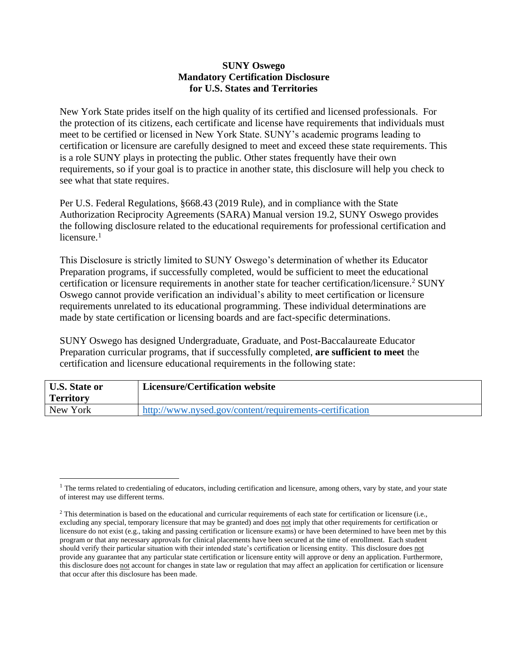## **SUNY Oswego Mandatory Certification Disclosure for U.S. States and Territories**

New York State prides itself on the high quality of its certified and licensed professionals. For the protection of its citizens, each certificate and license have requirements that individuals must meet to be certified or licensed in New York State. SUNY's academic programs leading to certification or licensure are carefully designed to meet and exceed these state requirements. This is a role SUNY plays in protecting the public. Other states frequently have their own requirements, so if your goal is to practice in another state, this disclosure will help you check to see what that state requires.

Per U.S. Federal Regulations, §668.43 (2019 Rule), and in compliance with the State Authorization Reciprocity Agreements (SARA) Manual version 19.2, SUNY Oswego provides the following disclosure related to the educational requirements for professional certification and licensure. 1

This Disclosure is strictly limited to SUNY Oswego's determination of whether its Educator Preparation programs, if successfully completed, would be sufficient to meet the educational certification or licensure requirements in another state for teacher certification/licensure. 2 SUNY Oswego cannot provide verification an individual's ability to meet certification or licensure requirements unrelated to its educational programming. These individual determinations are made by state certification or licensing boards and are fact-specific determinations.

SUNY Oswego has designed Undergraduate, Graduate, and Post-Baccalaureate Educator Preparation curricular programs, that if successfully completed, **are sufficient to meet** the certification and licensure educational requirements in the following state:

| <b>U.S. State or</b> | Licensure/Certification website                         |
|----------------------|---------------------------------------------------------|
| <b>Territory</b>     |                                                         |
| New York             | http://www.nysed.gov/content/requirements-certification |

<sup>&</sup>lt;sup>1</sup> The terms related to credentialing of educators, including certification and licensure, among others, vary by state, and your state of interest may use different terms.

<sup>&</sup>lt;sup>2</sup> This determination is based on the educational and curricular requirements of each state for certification or licensure (i.e., excluding any special, temporary licensure that may be granted) and does not imply that other requirements for certification or licensure do not exist (e.g., taking and passing certification or licensure exams) or have been determined to have been met by this program or that any necessary approvals for clinical placements have been secured at the time of enrollment. Each student should verify their particular situation with their intended state's certification or licensing entity. This disclosure does not provide any guarantee that any particular state certification or licensure entity will approve or deny an application. Furthermore, this disclosure does not account for changes in state law or regulation that may affect an application for certification or licensure that occur after this disclosure has been made.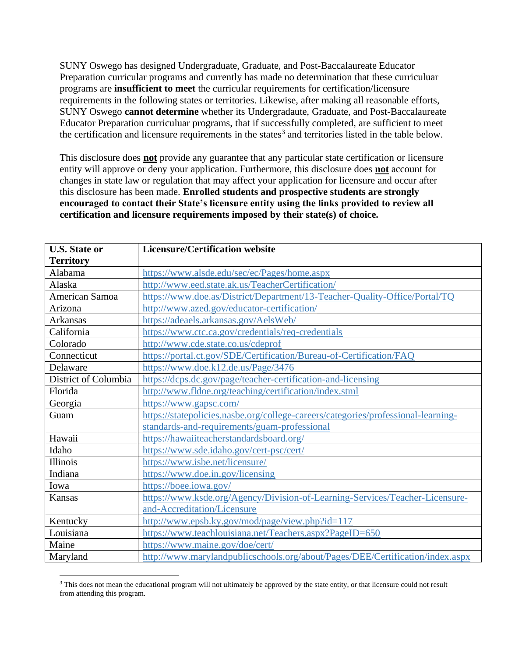SUNY Oswego has designed Undergraduate, Graduate, and Post-Baccalaureate Educator Preparation curricular programs and currently has made no determination that these curriculuar programs are **insufficient to meet** the curricular requirements for certification/licensure requirements in the following states or territories. Likewise, after making all reasonable efforts, SUNY Oswego **cannot determine** whether its Undergradaute, Graduate, and Post-Baccalaureate Educator Preparation curriculuar programs, that if successfully completed, are sufficient to meet the certification and licensure requirements in the states<sup>3</sup> and territories listed in the table below.

This disclosure does **not** provide any guarantee that any particular state certification or licensure entity will approve or deny your application. Furthermore, this disclosure does **not** account for changes in state law or regulation that may affect your application for licensure and occur after this disclosure has been made. **Enrolled students and prospective students are strongly encouraged to contact their State's licensure entity using the links provided to review all certification and licensure requirements imposed by their state(s) of choice.** 

| <b>U.S. State or</b> | <b>Licensure/Certification website</b>                                            |
|----------------------|-----------------------------------------------------------------------------------|
| <b>Territory</b>     |                                                                                   |
| Alabama              | https://www.alsde.edu/sec/ec/Pages/home.aspx                                      |
| Alaska               | http://www.eed.state.ak.us/TeacherCertification/                                  |
| American Samoa       | https://www.doe.as/District/Department/13-Teacher-Quality-Office/Portal/TQ        |
| Arizona              | http://www.azed.gov/educator-certification/                                       |
| <b>Arkansas</b>      | https://adeaels.arkansas.gov/AelsWeb/                                             |
| California           | https://www.ctc.ca.gov/credentials/req-credentials                                |
| Colorado             | http://www.cde.state.co.us/cdeprof                                                |
| Connecticut          | https://portal.ct.gov/SDE/Certification/Bureau-of-Certification/FAQ               |
| Delaware             | https://www.doe.k12.de.us/Page/3476                                               |
| District of Columbia | https://dcps.dc.gov/page/teacher-certification-and-licensing                      |
| Florida              | http://www.fldoe.org/teaching/certification/index.stml                            |
| Georgia              | https://www.gapsc.com/                                                            |
| Guam                 | https://statepolicies.nasbe.org/college-careers/categories/professional-learning- |
|                      | standards-and-requirements/guam-professional                                      |
| Hawaii               | https://hawaiiteacherstandardsboard.org/                                          |
| Idaho                | https://www.sde.idaho.gov/cert-psc/cert/                                          |
| Illinois             | https://www.isbe.net/licensure/                                                   |
| Indiana              | https://www.doe.in.gov/licensing                                                  |
| Iowa                 | https://boee.iowa.gov/                                                            |
| Kansas               | https://www.ksde.org/Agency/Division-of-Learning-Services/Teacher-Licensure-      |
|                      | and-Accreditation/Licensure                                                       |
| Kentucky             | http://www.epsb.ky.gov/mod/page/view.php?id=117                                   |
| Louisiana            | https://www.teachlouisiana.net/Teachers.aspx?PageID=650                           |
| Maine                | https://www.maine.gov/doe/cert/                                                   |
| Maryland             | http://www.marylandpublicschools.org/about/Pages/DEE/Certification/index.aspx     |

<sup>&</sup>lt;sup>3</sup> This does not mean the educational program will not ultimately be approved by the state entity, or that licensure could not result from attending this program.